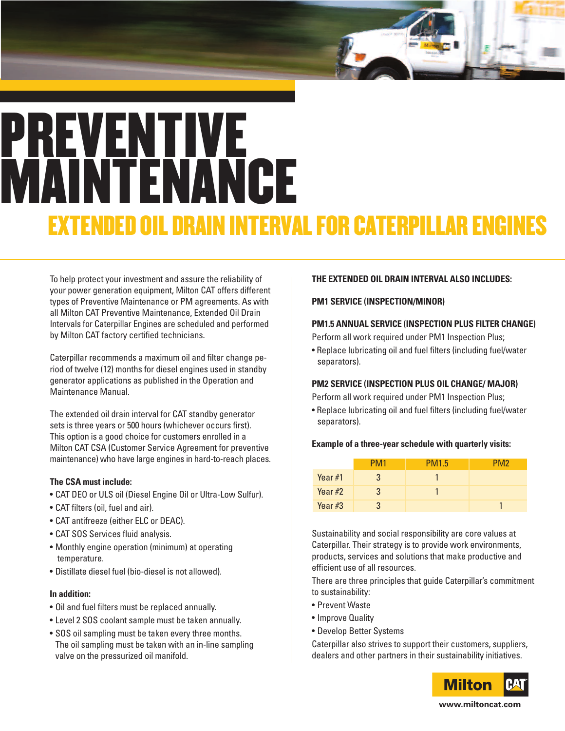# **PREVENTIVE MAINTENANCE EXTENDED OIL DRAIN INTERVAL FOR CATERPILLAR ENGINES**

To help protect your investment and assure the reliability of your power generation equipment, Milton CAT offers different types of Preventive Maintenance or PM agreements. As with all Milton CAT Preventive Maintenance, Extended Oil Drain Intervals for Caterpillar Engines are scheduled and performed by Milton CAT factory certified technicians.

Caterpillar recommends a maximum oil and filter change period of twelve (12) months for diesel engines used in standby generator applications as published in the Operation and Maintenance Manual.

The extended oil drain interval for CAT standby generator sets is three years or 500 hours (whichever occurs first). This option is a good choice for customers enrolled in a Milton CAT CSA (Customer Service Agreement for preventive maintenance) who have large engines in hard-to-reach places.

## **The CSA must include:**

- CAT DEO or ULS oil (Diesel Engine Oil or Ultra-Low Sulfur).
- CAT filters (oil, fuel and air).
- CAT antifreeze (either ELC or DEAC).
- CAT SOS Services fluid analysis.
- Monthly engine operation (minimum) at operating temperature.
- Distillate diesel fuel (bio-diesel is not allowed).

## **In addition:**

- Oil and fuel filters must be replaced annually.
- Level 2 SOS coolant sample must be taken annually.
- SOS oil sampling must be taken every three months. The oil sampling must be taken with an in-line sampling valve on the pressurized oil manifold.

# **THE EXTENDED OIL DRAIN INTERVAL ALSO INCLUDES:**

#### **PM1 SERVICE (INSPECTION/MINOR)**

# **PM1.5 ANNUAL SERVICE (INSPECTION PLUS FILTER CHANGE)**

Perform all work required under PM1 Inspection Plus;

• Replace lubricating oil and fuel filters (including fuel/water separators).

## **PM2 SERVICE (INSPECTION PLUS OIL CHANGE/ MAJOR)**

Perform all work required under PM1 Inspection Plus;

• Replace lubricating oil and fuel filters (including fuel/water separators).

#### **Example of a three-year schedule with quarterly visits:**

|           | PM <sub>1</sub> | <b>PM1.5</b> | PM <sub>2</sub> |
|-----------|-----------------|--------------|-----------------|
| Year $#1$ | 3               |              |                 |
| Year $#2$ | 3               |              |                 |
| Year $#3$ | 3               |              |                 |

Sustainability and social responsibility are core values at Caterpillar. Their strategy is to provide work environments, products, services and solutions that make productive and efficient use of all resources.

There are three principles that guide Caterpillar's commitment to sustainability:

- Prevent Waste
- Improve Quality
- Develop Better Systems

Caterpillar also strives to support their customers, suppliers, dealers and other partners in their sustainability initiatives.



**www.miltoncat.com**